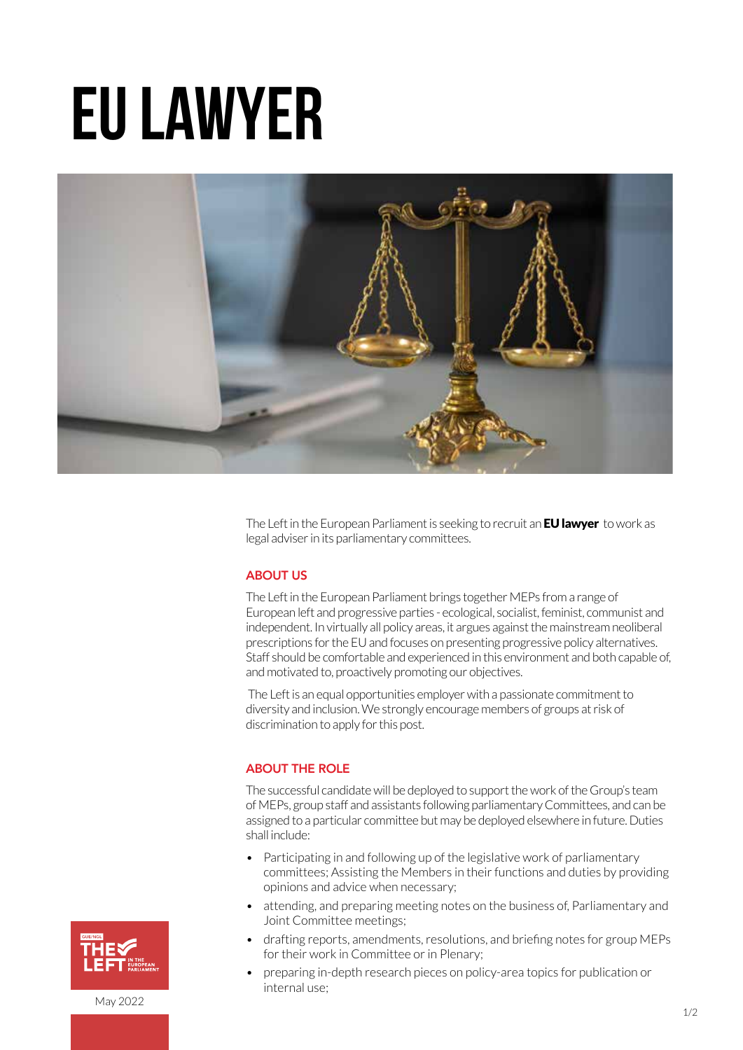# EU lawyer



The Left in the European Parliament is seeking to recruit an **EU lawyer** to work as legal adviser in its parliamentary committees.

### **ABOUT US**

The Left in the European Parliament brings together MEPs from a range of European left and progressive parties - ecological, socialist, feminist, communist and independent. In virtually all policy areas, it argues against the mainstream neoliberal prescriptions for the EU and focuses on presenting progressive policy alternatives. Staff should be comfortable and experienced in this environment and both capable of, and motivated to, proactively promoting our objectives.

 The Left is an equal opportunities employer with a passionate commitment to diversity and inclusion. We strongly encourage members of groups at risk of discrimination to apply for this post.

#### ABOUT THE ROLE

The successful candidate will be deployed to support the work of the Group's team of MEPs, group staff and assistants following parliamentary Committees, and can be assigned to a particular committee but may be deployed elsewhere in future. Duties shall include:

- Participating in and following up of the legislative work of parliamentary committees; Assisting the Members in their functions and duties by providing opinions and advice when necessary;
- attending, and preparing meeting notes on the business of, Parliamentary and Joint Committee meetings;
- drafting reports, amendments, resolutions, and briefing notes for group MEPs for their work in Committee or in Plenary;
- preparing in-depth research pieces on policy-area topics for publication or internal use;



May 2022